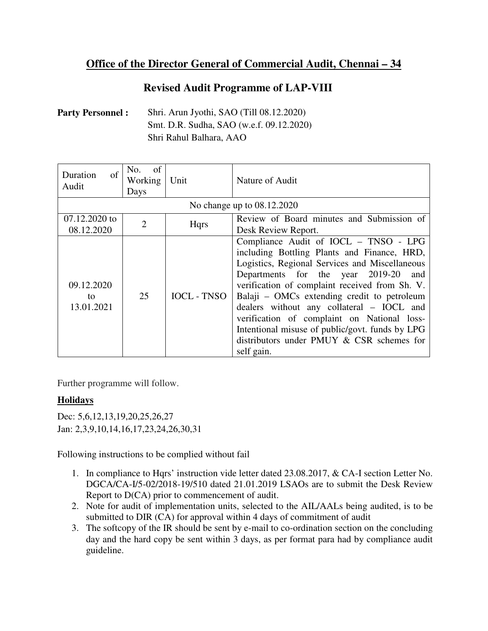## **Office of the Director General of Commercial Audit, Chennai – 34**

## **Revised Audit Programme of LAP-VIII**

Party Personnel : Shri. Arun Jyothi, SAO (Till 08.12.2020) Smt. D.R. Sudha, SAO (w.e.f. 09.12.2020) Shri Rahul Balhara, AAO

| of<br>Duration<br>Audit        | of<br>No.<br>Working<br>Days | Unit               | Nature of Audit                                                                                                                                                                                                                                                                                                                                                                                                                                                                              |
|--------------------------------|------------------------------|--------------------|----------------------------------------------------------------------------------------------------------------------------------------------------------------------------------------------------------------------------------------------------------------------------------------------------------------------------------------------------------------------------------------------------------------------------------------------------------------------------------------------|
| No change up to 08.12.2020     |                              |                    |                                                                                                                                                                                                                                                                                                                                                                                                                                                                                              |
| 07.12.2020 to<br>08.12.2020    | $\mathcal{D}$                | <b>H</b> qrs       | Review of Board minutes and Submission of<br>Desk Review Report.                                                                                                                                                                                                                                                                                                                                                                                                                             |
| 09.12.2020<br>to<br>13.01.2021 | 25                           | <b>IOCL - TNSO</b> | Compliance Audit of IOCL - TNSO - LPG<br>including Bottling Plants and Finance, HRD,<br>Logistics, Regional Services and Miscellaneous<br>Departments for the year 2019-20<br>and<br>verification of complaint received from Sh. V.<br>Balaji – OMCs extending credit to petroleum<br>dealers without any collateral - IOCL and<br>verification of complaint on National loss-<br>Intentional misuse of public/govt. funds by LPG<br>distributors under PMUY & CSR schemes for<br>self gain. |

Further programme will follow.

## **Holidays**

Dec: 5,6,12,13,19,20,25,26,27 Jan: 2,3,9,10,14,16,17,23,24,26,30,31

Following instructions to be complied without fail

- 1. In compliance to Hqrs' instruction vide letter dated 23.08.2017, & CA-I section Letter No. DGCA/CA-I/5-02/2018-19/510 dated 21.01.2019 LSAOs are to submit the Desk Review Report to D(CA) prior to commencement of audit.
- 2. Note for audit of implementation units, selected to the AIL/AALs being audited, is to be submitted to DIR (CA) for approval within 4 days of commitment of audit
- 3. The softcopy of the IR should be sent by e-mail to co-ordination section on the concluding day and the hard copy be sent within 3 days, as per format para had by compliance audit guideline.